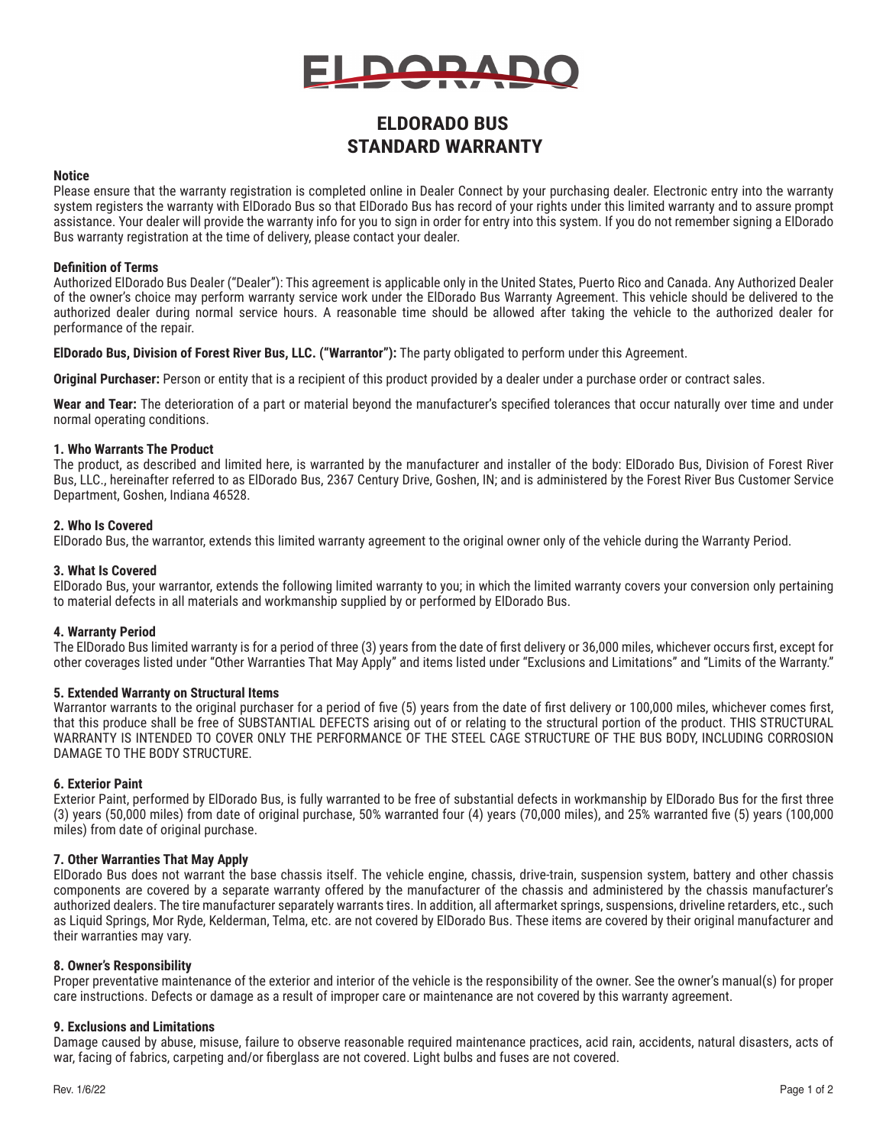

# **ELDORADO BUS STANDARD WARRANTY**

#### **Notice**

Please ensure that the warranty registration is completed online in Dealer Connect by your purchasing dealer. Electronic entry into the warranty system registers the warranty with ElDorado Bus so that ElDorado Bus has record of your rights under this limited warranty and to assure prompt assistance. Your dealer will provide the warranty info for you to sign in order for entry into this system. If you do not remember signing a ElDorado Bus warranty registration at the time of delivery, please contact your dealer.

#### **Definition of Terms**

Authorized ElDorado Bus Dealer ("Dealer"): This agreement is applicable only in the United States, Puerto Rico and Canada. Any Authorized Dealer of the owner's choice may perform warranty service work under the ElDorado Bus Warranty Agreement. This vehicle should be delivered to the authorized dealer during normal service hours. A reasonable time should be allowed after taking the vehicle to the authorized dealer for performance of the repair.

**ElDorado Bus, Division of Forest River Bus, LLC. ("Warrantor"):** The party obligated to perform under this Agreement.

**Original Purchaser:** Person or entity that is a recipient of this product provided by a dealer under a purchase order or contract sales.

**Wear and Tear:** The deterioration of a part or material beyond the manufacturer's specified tolerances that occur naturally over time and under normal operating conditions.

# **1. Who Warrants The Product**

The product, as described and limited here, is warranted by the manufacturer and installer of the body: ElDorado Bus, Division of Forest River Bus, LLC., hereinafter referred to as ElDorado Bus, 2367 Century Drive, Goshen, IN; and is administered by the Forest River Bus Customer Service Department, Goshen, Indiana 46528.

#### **2. Who Is Covered**

ElDorado Bus, the warrantor, extends this limited warranty agreement to the original owner only of the vehicle during the Warranty Period.

#### **3. What Is Covered**

ElDorado Bus, your warrantor, extends the following limited warranty to you; in which the limited warranty covers your conversion only pertaining to material defects in all materials and workmanship supplied by or performed by ElDorado Bus.

# **4. Warranty Period**

The ElDorado Bus limited warranty is for a period of three (3) years from the date of first delivery or 36,000 miles, whichever occurs first, except for other coverages listed under "Other Warranties That May Apply" and items listed under "Exclusions and Limitations" and "Limits of the Warranty."

#### **5. Extended Warranty on Structural Items**

Warrantor warrants to the original purchaser for a period of five (5) years from the date of first delivery or 100,000 miles, whichever comes first, that this produce shall be free of SUBSTANTIAL DEFECTS arising out of or relating to the structural portion of the product. THIS STRUCTURAL WARRANTY IS INTENDED TO COVER ONLY THE PERFORMANCE OF THE STEEL CAGE STRUCTURE OF THE BUS BODY, INCLUDING CORROSION DAMAGE TO THE BODY STRUCTURE.

# **6. Exterior Paint**

Exterior Paint, performed by ElDorado Bus, is fully warranted to be free of substantial defects in workmanship by ElDorado Bus for the first three (3) years (50,000 miles) from date of original purchase, 50% warranted four (4) years (70,000 miles), and 25% warranted five (5) years (100,000 miles) from date of original purchase.

# **7. Other Warranties That May Apply**

ElDorado Bus does not warrant the base chassis itself. The vehicle engine, chassis, drive‐train, suspension system, battery and other chassis components are covered by a separate warranty offered by the manufacturer of the chassis and administered by the chassis manufacturer's authorized dealers. The tire manufacturer separately warrants tires. In addition, all aftermarket springs, suspensions, driveline retarders, etc., such as Liquid Springs, Mor Ryde, Kelderman, Telma, etc. are not covered by ElDorado Bus. These items are covered by their original manufacturer and their warranties may vary.

# **8. Owner's Responsibility**

Proper preventative maintenance of the exterior and interior of the vehicle is the responsibility of the owner. See the owner's manual(s) for proper care instructions. Defects or damage as a result of improper care or maintenance are not covered by this warranty agreement.

# **9. Exclusions and Limitations**

Damage caused by abuse, misuse, failure to observe reasonable required maintenance practices, acid rain, accidents, natural disasters, acts of war, facing of fabrics, carpeting and/or fiberglass are not covered. Light bulbs and fuses are not covered.